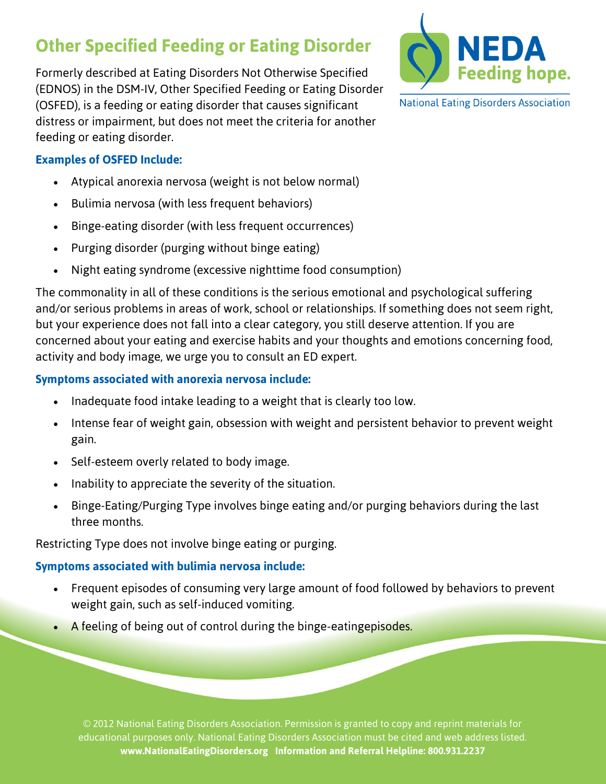# **Other Specified Feeding or Eating Disorder**

Formerly described at Eating Disorders Not Otherwise Specified (EDNOS) in the DSM-IV, Other Specified Feeding or Eating Disorder (OSFED), is a feeding or eating disorder that causes significant distress or impairment, but does not meet the criteria for another feeding or eating disorder.



**National Eating Disorders Association** 

#### **Examples of OSFED Include:**

- Atypical anorexia nervosa (weight is not below normal)
- Bulimia nervosa (with less frequent behaviors)
- Binge-eating disorder (with less frequent occurrences)
- Purging disorder (purging without binge eating)
- Night eating syndrome (excessive nighttime food consumption)

The commonality in all of these conditions is the serious emotional and psychological suffering and/or serious problems in areas of work, school or relationships. If something does not seem right, but your experience does not fall into a clear category, you still deserve attention. If you are concerned about your eating and exercise habits and your thoughts and emotions concerning food, activity and body image, we urge you to consult an ED expert.

#### **Symptoms associated with anorexia nervosa include:**

- Inadequate food intake leading to a weight that is clearly too low.
- Intense fear of weight gain, obsession with weight and persistent behavior to prevent weight gain.
- Self-esteem overly related to body image.
- Inability to appreciate the severity of the situation.
- Binge-Eating/Purging Type involves binge eating and/or purging behaviors during the last three months.

Restricting Type does not involve binge eating or purging.

### **Symptoms associated with bulimia nervosa include:**

- Frequent episodes of consuming very large amount of food followed by behaviors to prevent weight gain, such as self-induced vomiting.
- A feeling of being out of control during the binge-eatingepisodes.

© 2012 National Eating Disorders Association. Permission is granted to copy and reprint materials for educational purposes only. National Eating Disorders Association must be cited and web address listed. **www.NationalEatingDisorders.org Information and Referral Helpline: 800.931.2237**